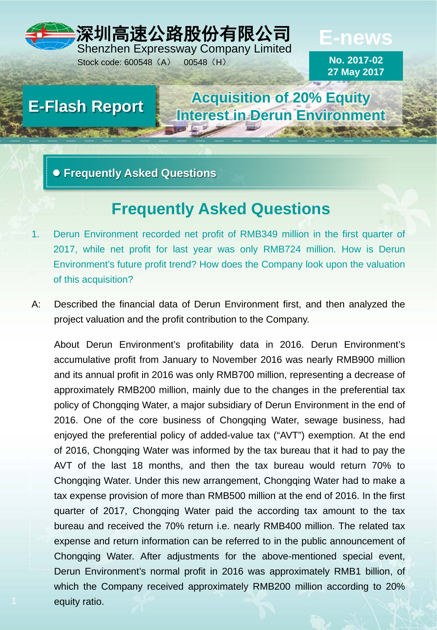# 深圳高速公路股份有限公司 Shenzhen Expressway Company Limited

Stock code: 600548 (A) 00548 (H)

**E-news**

**No. 2017-02 27 May 2017**

**Acquisition of 20% Equity Interest in Derun Environment E-Flash Report**

**Frequently Asked Questions**

# **Frequently Asked Questions**

- 1. Derun Environment recorded net profit of RMB349 million in the first quarter of 2017, while net profit for last year was only RMB724 million. How is Derun Environment's future profit trend? How does the Company look upon the valuation of this acquisition?
- A: Described the financial data of Derun Environment first, and then analyzed the project valuation and the profit contribution to the Company.

About Derun Environment's profitability data in 2016. Derun Environment's accumulative profit from January to November 2016 was nearly RMB900 million and its annual profit in 2016 was only RMB700 million, representing a decrease of approximately RMB200 million, mainly due to the changes in the preferential tax policy of Chongqing Water, a major subsidiary of Derun Environment in the end of 2016. One of the core business of Chongqing Water, sewage business, had enjoyed the preferential policy of added-value tax ("AVT") exemption. At the end of 2016, Chongqing Water was informed by the tax bureau that it had to pay the AVT of the last 18 months, and then the tax bureau would return 70% to Chongqing Water. Under this new arrangement, Chongqing Water had to make a tax expense provision of more than RMB500 million at the end of 2016. In the first quarter of 2017, Chongqing Water paid the according tax amount to the tax bureau and received the 70% return i.e. nearly RMB400 million. The related tax expense and return information can be referred to in the public announcement of Chongqing Water. After adjustments for the above-mentioned special event, Derun Environment's normal profit in 2016 was approximately RMB1 billion, of which the Company received approximately RMB200 million according to 20% equity ratio.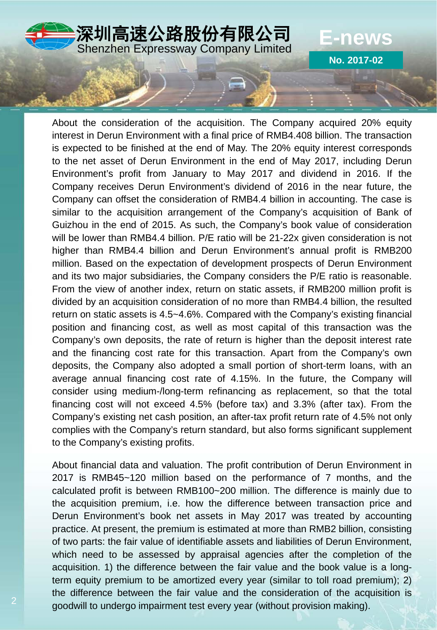

About the consideration of the acquisition. The Company acquired 20% equity interest in Derun Environment with a final price of RMB4.408 billion. The transaction is expected to be finished at the end of May. The 20% equity interest corresponds to the net asset of Derun Environment in the end of May 2017, including Derun Environment's profit from January to May 2017 and dividend in 2016. If the Company receives Derun Environment's dividend of 2016 in the near future, the Company can offset the consideration of RMB4.4 billion in accounting. The case is similar to the acquisition arrangement of the Company's acquisition of Bank of Guizhou in the end of 2015. As such, the Company's book value of consideration will be lower than RMB4.4 billion. P/E ratio will be 21-22x given consideration is not higher than RMB4.4 billion and Derun Environment's annual profit is RMB200 million. Based on the expectation of development prospects of Derun Environment and its two major subsidiaries, the Company considers the P/E ratio is reasonable. From the view of another index, return on static assets, if RMB200 million profit is divided by an acquisition consideration of no more than RMB4.4 billion, the resulted return on static assets is 4.5~4.6%. Compared with the Company's existing financial position and financing cost, as well as most capital of this transaction was the Company's own deposits, the rate of return is higher than the deposit interest rate and the financing cost rate for this transaction. Apart from the Company's own deposits, the Company also adopted a small portion of short-term loans, with an average annual financing cost rate of 4.15%. In the future, the Company will consider using medium-/long-term refinancing as replacement, so that the total financing cost will not exceed 4.5% (before tax) and 3.3% (after tax). From the Company's existing net cash position, an after-tax profit return rate of 4.5% not only complies with the Company's return standard, but also forms significant supplement to the Company's existing profits.

About financial data and valuation. The profit contribution of Derun Environment in 2017 is RMB45~120 million based on the performance of 7 months, and the calculated profit is between RMB100~200 million. The difference is mainly due to the acquisition premium, i.e. how the difference between transaction price and Derun Environment's book net assets in May 2017 was treated by accounting practice. At present, the premium is estimated at more than RMB2 billion, consisting of two parts: the fair value of identifiable assets and liabilities of Derun Environment, which need to be assessed by appraisal agencies after the completion of the acquisition. 1) the difference between the fair value and the book value is a longterm equity premium to be amortized every year (similar to toll road premium); 2) the difference between the fair value and the consideration of the acquisition is goodwill to undergo impairment test every year (without provision making).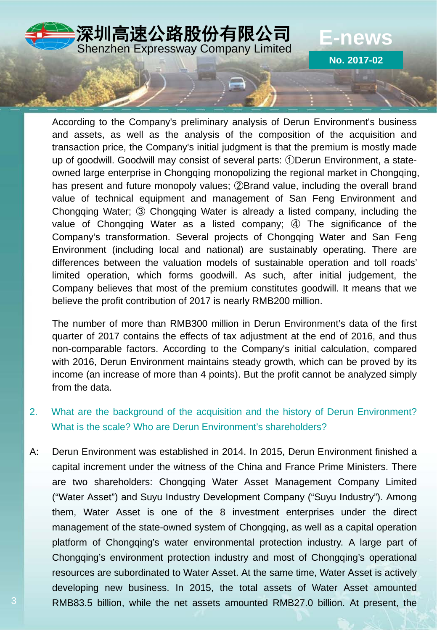

According to the Company's preliminary analysis of Derun Environment's business and assets, as well as the analysis of the composition of the acquisition and transaction price, the Company's initial judgment is that the premium is mostly made up of goodwill. Goodwill may consist of several parts: ①Derun Environment, a stateowned large enterprise in Chongqing monopolizing the regional market in Chongqing, has present and future monopoly values; ②Brand value, including the overall brand value of technical equipment and management of San Feng Environment and Chongqing Water; ③ Chongqing Water is already a listed company, including the value of Chongqing Water as a listed company; ④ The significance of the Company's transformation. Several projects of Chongqing Water and San Feng Environment (including local and national) are sustainably operating. There are differences between the valuation models of sustainable operation and toll roads' limited operation, which forms goodwill. As such, after initial judgement, the Company believes that most of the premium constitutes goodwill. It means that we believe the profit contribution of 2017 is nearly RMB200 million.

The number of more than RMB300 million in Derun Environment's data of the first quarter of 2017 contains the effects of tax adjustment at the end of 2016, and thus non-comparable factors. According to the Company's initial calculation, compared with 2016, Derun Environment maintains steady growth, which can be proved by its income (an increase of more than 4 points). But the profit cannot be analyzed simply from the data.

- 2. What are the background of the acquisition and the history of Derun Environment? What is the scale? Who are Derun Environment's shareholders?
- A: Derun Environment was established in 2014. In 2015, Derun Environment finished a capital increment under the witness of the China and France Prime Ministers. There are two shareholders: Chongqing Water Asset Management Company Limited ("Water Asset") and Suyu Industry Development Company ("Suyu Industry"). Among them, Water Asset is one of the 8 investment enterprises under the direct management of the state-owned system of Chongqing, as well as a capital operation platform of Chongqing's water environmental protection industry. A large part of Chongqing's environment protection industry and most of Chongqing's operational resources are subordinated to Water Asset. At the same time, Water Asset is actively developing new business. In 2015, the total assets of Water Asset amounted RMB83.5 billion, while the net assets amounted RMB27.0 billion. At present, the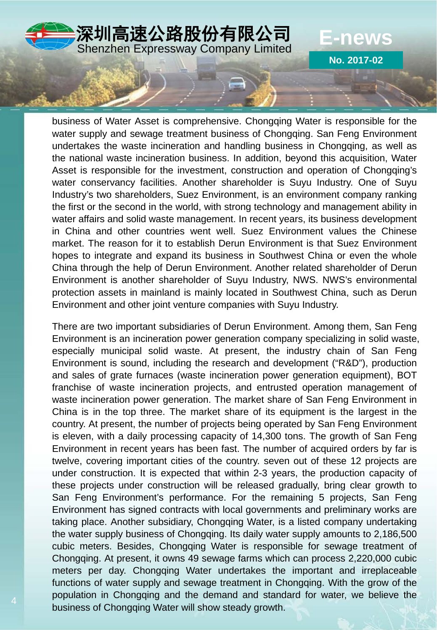

**No. 2017-02**

business of Water Asset is comprehensive. Chongqing Water is responsible for the water supply and sewage treatment business of Chongqing. San Feng Environment undertakes the waste incineration and handling business in Chongqing, as well as the national waste incineration business. In addition, beyond this acquisition, Water Asset is responsible for the investment, construction and operation of Chongqing's water conservancy facilities. Another shareholder is Suyu Industry. One of Suyu Industry's two shareholders, Suez Environment, is an environment company ranking the first or the second in the world, with strong technology and management ability in water affairs and solid waste management. In recent years, its business development in China and other countries went well. Suez Environment values the Chinese market. The reason for it to establish Derun Environment is that Suez Environment hopes to integrate and expand its business in Southwest China or even the whole China through the help of Derun Environment. Another related shareholder of Derun Environment is another shareholder of Suyu Industry, NWS. NWS's environmental protection assets in mainland is mainly located in Southwest China, such as Derun Environment and other joint venture companies with Suyu Industry.

There are two important subsidiaries of Derun Environment. Among them, San Feng Environment is an incineration power generation company specializing in solid waste, especially municipal solid waste. At present, the industry chain of San Feng Environment is sound, including the research and development ("R&D"), production and sales of grate furnaces (waste incineration power generation equipment), BOT franchise of waste incineration projects, and entrusted operation management of waste incineration power generation. The market share of San Feng Environment in China is in the top three. The market share of its equipment is the largest in the country. At present, the number of projects being operated by San Feng Environment is eleven, with a daily processing capacity of 14,300 tons. The growth of San Feng Environment in recent years has been fast. The number of acquired orders by far is twelve, covering important cities of the country. seven out of these 12 projects are under construction. It is expected that within 2-3 years, the production capacity of these projects under construction will be released gradually, bring clear growth to San Feng Environment's performance. For the remaining 5 projects, San Feng Environment has signed contracts with local governments and preliminary works are taking place. Another subsidiary, Chongqing Water, is a listed company undertaking the water supply business of Chongqing. Its daily water supply amounts to 2,186,500 cubic meters. Besides, Chongqing Water is responsible for sewage treatment of Chongqing. At present, it owns 49 sewage farms which can process 2,220,000 cubic meters per day. Chongqing Water undertakes the important and irreplaceable functions of water supply and sewage treatment in Chongqing. With the grow of the population in Chongqing and the demand and standard for water, we believe the business of Chongqing Water will show steady growth.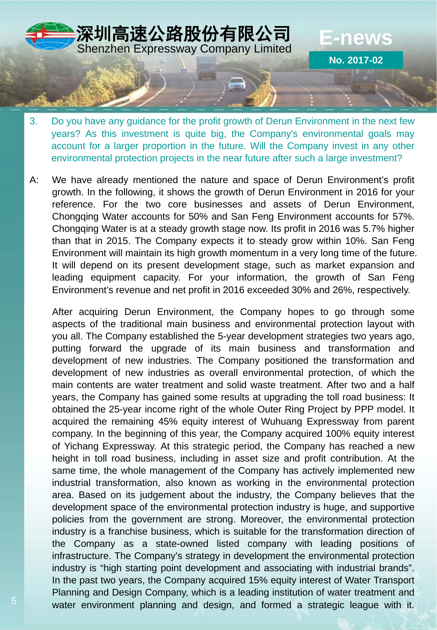

- 3. Do you have any guidance for the profit growth of Derun Environment in the next few years? As this investment is quite big, the Company's environmental goals may account for a larger proportion in the future. Will the Company invest in any other environmental protection projects in the near future after such a large investment?
- A: We have already mentioned the nature and space of Derun Environment's profit growth. In the following, it shows the growth of Derun Environment in 2016 for your reference. For the two core businesses and assets of Derun Environment, Chongqing Water accounts for 50% and San Feng Environment accounts for 57%. Chongqing Water is at a steady growth stage now. Its profit in 2016 was 5.7% higher than that in 2015. The Company expects it to steady grow within 10%. San Feng Environment will maintain its high growth momentum in a very long time of the future. It will depend on its present development stage, such as market expansion and leading equipment capacity. For your information, the growth of San Feng Environment's revenue and net profit in 2016 exceeded 30% and 26%, respectively.

After acquiring Derun Environment, the Company hopes to go through some aspects of the traditional main business and environmental protection layout with you all. The Company established the 5-year development strategies two years ago, putting forward the upgrade of its main business and transformation and development of new industries. The Company positioned the transformation and development of new industries as overall environmental protection, of which the main contents are water treatment and solid waste treatment. After two and a half years, the Company has gained some results at upgrading the toll road business: It obtained the 25-year income right of the whole Outer Ring Project by PPP model. It acquired the remaining 45% equity interest of Wuhuang Expressway from parent company. In the beginning of this year, the Company acquired 100% equity interest of Yichang Expressway. At this strategic period, the Company has reached a new height in toll road business, including in asset size and profit contribution. At the same time, the whole management of the Company has actively implemented new industrial transformation, also known as working in the environmental protection area. Based on its judgement about the industry, the Company believes that the development space of the environmental protection industry is huge, and supportive policies from the government are strong. Moreover, the environmental protection industry is a franchise business, which is suitable for the transformation direction of the Company as a state-owned listed company with leading positions of infrastructure. The Company's strategy in development the environmental protection industry is "high starting point development and associating with industrial brands". In the past two years, the Company acquired 15% equity interest of Water Transport Planning and Design Company, which is a leading institution of water treatment and water environment planning and design, and formed a strategic league with it.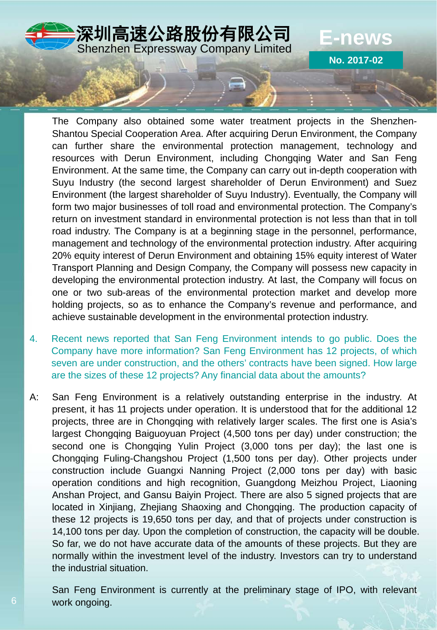

**No. 2017-02**

The Company also obtained some water treatment projects in the Shenzhen-Shantou Special Cooperation Area. After acquiring Derun Environment, the Company can further share the environmental protection management, technology and resources with Derun Environment, including Chongqing Water and San Feng Environment. At the same time, the Company can carry out in-depth cooperation with Suyu Industry (the second largest shareholder of Derun Environment) and Suez Environment (the largest shareholder of Suyu Industry). Eventually, the Company will form two major businesses of toll road and environmental protection. The Company's return on investment standard in environmental protection is not less than that in toll road industry. The Company is at a beginning stage in the personnel, performance, management and technology of the environmental protection industry. After acquiring 20% equity interest of Derun Environment and obtaining 15% equity interest of Water Transport Planning and Design Company, the Company will possess new capacity in developing the environmental protection industry. At last, the Company will focus on one or two sub-areas of the environmental protection market and develop more holding projects, so as to enhance the Company's revenue and performance, and achieve sustainable development in the environmental protection industry.

- 4. Recent news reported that San Feng Environment intends to go public. Does the Company have more information? San Feng Environment has 12 projects, of which seven are under construction, and the others' contracts have been signed. How large are the sizes of these 12 projects? Any financial data about the amounts?
- A: San Feng Environment is a relatively outstanding enterprise in the industry. At present, it has 11 projects under operation. It is understood that for the additional 12 projects, three are in Chongqing with relatively larger scales. The first one is Asia's largest Chongqing Baiguoyuan Project (4,500 tons per day) under construction; the second one is Chongqing Yulin Project (3,000 tons per day); the last one is Chongqing Fuling-Changshou Project (1,500 tons per day). Other projects under construction include Guangxi Nanning Project (2,000 tons per day) with basic operation conditions and high recognition, Guangdong Meizhou Project, Liaoning Anshan Project, and Gansu Baiyin Project. There are also 5 signed projects that are located in Xinjiang, Zhejiang Shaoxing and Chongqing. The production capacity of these 12 projects is 19,650 tons per day, and that of projects under construction is 14,100 tons per day. Upon the completion of construction, the capacity will be double. So far, we do not have accurate data of the amounts of these projects. But they are normally within the investment level of the industry. Investors can try to understand the industrial situation.

San Feng Environment is currently at the preliminary stage of IPO, with relevant work ongoing.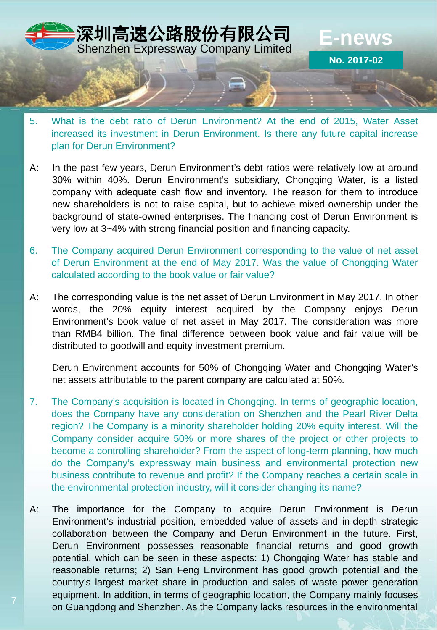

- 5. What is the debt ratio of Derun Environment? At the end of 2015, Water Asset increased its investment in Derun Environment. Is there any future capital increase plan for Derun Environment?
- A: In the past few years, Derun Environment's debt ratios were relatively low at around 30% within 40%. Derun Environment's subsidiary, Chongqing Water, is a listed company with adequate cash flow and inventory. The reason for them to introduce new shareholders is not to raise capital, but to achieve mixed-ownership under the background of state-owned enterprises. The financing cost of Derun Environment is very low at 3~4% with strong financial position and financing capacity.
- 6. The Company acquired Derun Environment corresponding to the value of net asset of Derun Environment at the end of May 2017. Was the value of Chongqing Water calculated according to the book value or fair value?
- A: The corresponding value is the net asset of Derun Environment in May 2017. In other words, the 20% equity interest acquired by the Company enjoys Derun Environment's book value of net asset in May 2017. The consideration was more than RMB4 billion. The final difference between book value and fair value will be distributed to goodwill and equity investment premium.

Derun Environment accounts for 50% of Chongqing Water and Chongqing Water's net assets attributable to the parent company are calculated at 50%.

- 7. The Company's acquisition is located in Chongqing. In terms of geographic location, does the Company have any consideration on Shenzhen and the Pearl River Delta region? The Company is a minority shareholder holding 20% equity interest. Will the Company consider acquire 50% or more shares of the project or other projects to become a controlling shareholder? From the aspect of long-term planning, how much do the Company's expressway main business and environmental protection new business contribute to revenue and profit? If the Company reaches a certain scale in the environmental protection industry, will it consider changing its name?
- A: The importance for the Company to acquire Derun Environment is Derun Environment's industrial position, embedded value of assets and in-depth strategic collaboration between the Company and Derun Environment in the future. First, Derun Environment possesses reasonable financial returns and good growth potential, which can be seen in these aspects: 1) Chongqing Water has stable and reasonable returns; 2) San Feng Environment has good growth potential and the country's largest market share in production and sales of waste power generation equipment. In addition, in terms of geographic location, the Company mainly focuses on Guangdong and Shenzhen. As the Company lacks resources in the environmental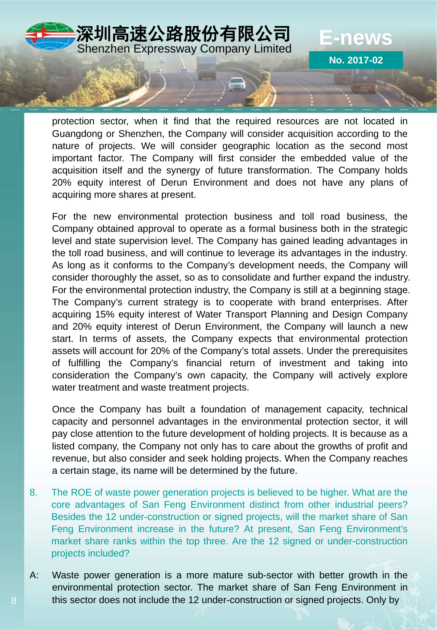

protection sector, when it find that the required resources are not located in Guangdong or Shenzhen, the Company will consider acquisition according to the nature of projects. We will consider geographic location as the second most important factor. The Company will first consider the embedded value of the acquisition itself and the synergy of future transformation. The Company holds 20% equity interest of Derun Environment and does not have any plans of acquiring more shares at present.

For the new environmental protection business and toll road business, the Company obtained approval to operate as a formal business both in the strategic level and state supervision level. The Company has gained leading advantages in the toll road business, and will continue to leverage its advantages in the industry. As long as it conforms to the Company's development needs, the Company will consider thoroughly the asset, so as to consolidate and further expand the industry. For the environmental protection industry, the Company is still at a beginning stage. The Company's current strategy is to cooperate with brand enterprises. After acquiring 15% equity interest of Water Transport Planning and Design Company and 20% equity interest of Derun Environment, the Company will launch a new start. In terms of assets, the Company expects that environmental protection assets will account for 20% of the Company's total assets. Under the prerequisites of fulfilling the Company's financial return of investment and taking into consideration the Company's own capacity, the Company will actively explore water treatment and waste treatment projects.

Once the Company has built a foundation of management capacity, technical capacity and personnel advantages in the environmental protection sector, it will pay close attention to the future development of holding projects. It is because as a listed company, the Company not only has to care about the growths of profit and revenue, but also consider and seek holding projects. When the Company reaches a certain stage, its name will be determined by the future.

- 8. The ROE of waste power generation projects is believed to be higher. What are the core advantages of San Feng Environment distinct from other industrial peers? Besides the 12 under-construction or signed projects, will the market share of San Feng Environment increase in the future? At present, San Feng Environment's market share ranks within the top three. Are the 12 signed or under-construction projects included?
- A: Waste power generation is a more mature sub-sector with better growth in the environmental protection sector. The market share of San Feng Environment in this sector does not include the 12 under-construction or signed projects. Only by